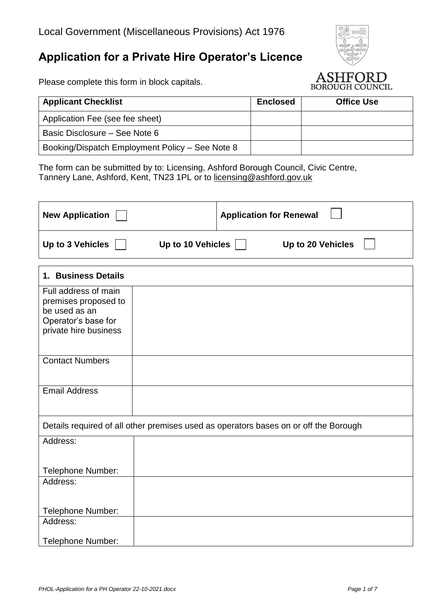# **Application for a Private Hire Operator's Licence**

Please complete this form in block capitals.



| <b>Applicant Checklist</b>                      | <b>Enclosed</b> | <b>Office Use</b> |
|-------------------------------------------------|-----------------|-------------------|
| Application Fee (see fee sheet)                 |                 |                   |
| Basic Disclosure – See Note 6                   |                 |                   |
| Booking/Dispatch Employment Policy - See Note 8 |                 |                   |

The form can be submitted by to: Licensing, Ashford Borough Council, Civic Centre, Tannery Lane, Ashford, Kent, TN23 1PL or to [licensing@ashford.gov.uk](mailto:licensing@ashford.gov.uk)

| <b>New Application</b>                                                                                        | <b>Application for Renewal</b> |
|---------------------------------------------------------------------------------------------------------------|--------------------------------|
| Up to 3 Vehicles<br><b>Up to 10 Vehicles</b>                                                                  | Up to 20 Vehicles              |
| 1. Business Details                                                                                           |                                |
| Full address of main<br>premises proposed to<br>be used as an<br>Operator's base for<br>private hire business |                                |
| <b>Contact Numbers</b>                                                                                        |                                |
| <b>Email Address</b>                                                                                          |                                |
| Details required of all other premises used as operators bases on or off the Borough                          |                                |
| Address:                                                                                                      |                                |
| <b>Telephone Number:</b>                                                                                      |                                |
| Address:<br>Telephone Number:                                                                                 |                                |
| Address:                                                                                                      |                                |
| Telephone Number:                                                                                             |                                |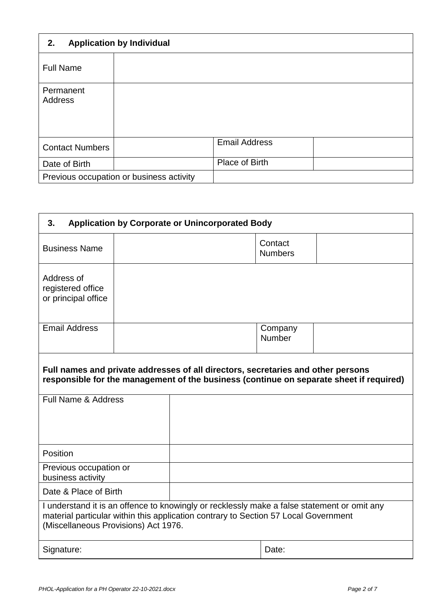| <b>Application by Individual</b><br>2. |                                          |                      |  |
|----------------------------------------|------------------------------------------|----------------------|--|
| <b>Full Name</b>                       |                                          |                      |  |
| Permanent<br><b>Address</b>            |                                          |                      |  |
| <b>Contact Numbers</b>                 |                                          | <b>Email Address</b> |  |
| Date of Birth                          |                                          | Place of Birth       |  |
|                                        | Previous occupation or business activity |                      |  |

| <b>Application by Corporate or Unincorporated Body</b><br>3. |  |                                                                                                                                                                                    |                           |                                                                                         |
|--------------------------------------------------------------|--|------------------------------------------------------------------------------------------------------------------------------------------------------------------------------------|---------------------------|-----------------------------------------------------------------------------------------|
| <b>Business Name</b>                                         |  |                                                                                                                                                                                    | Contact<br><b>Numbers</b> |                                                                                         |
| Address of<br>registered office<br>or principal office       |  |                                                                                                                                                                                    |                           |                                                                                         |
| <b>Email Address</b>                                         |  |                                                                                                                                                                                    | Company<br>Number         |                                                                                         |
| Full Name & Address                                          |  | Full names and private addresses of all directors, secretaries and other persons                                                                                                   |                           | responsible for the management of the business (continue on separate sheet if required) |
| Position                                                     |  |                                                                                                                                                                                    |                           |                                                                                         |
| Previous occupation or<br>business activity                  |  |                                                                                                                                                                                    |                           |                                                                                         |
| Date & Place of Birth                                        |  |                                                                                                                                                                                    |                           |                                                                                         |
| (Miscellaneous Provisions) Act 1976.                         |  | I understand it is an offence to knowingly or recklessly make a false statement or omit any<br>material particular within this application contrary to Section 57 Local Government |                           |                                                                                         |
| Signature:                                                   |  |                                                                                                                                                                                    | Date:                     |                                                                                         |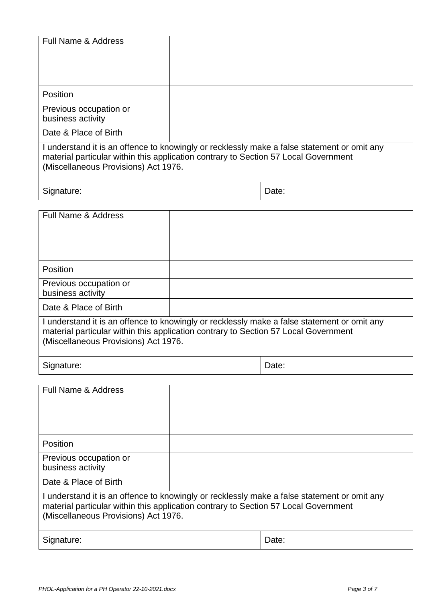| <b>Full Name &amp; Address</b>                                                                                                                                                                                             |  |       |
|----------------------------------------------------------------------------------------------------------------------------------------------------------------------------------------------------------------------------|--|-------|
| Position                                                                                                                                                                                                                   |  |       |
| Previous occupation or<br>business activity                                                                                                                                                                                |  |       |
| Date & Place of Birth                                                                                                                                                                                                      |  |       |
| I understand it is an offence to knowingly or recklessly make a false statement or omit any<br>material particular within this application contrary to Section 57 Local Government<br>(Miscellaneous Provisions) Act 1976. |  |       |
| Signature:                                                                                                                                                                                                                 |  | Date: |

| <b>Full Name &amp; Address</b>                                                                                                                                                                                             |  |       |
|----------------------------------------------------------------------------------------------------------------------------------------------------------------------------------------------------------------------------|--|-------|
| Position                                                                                                                                                                                                                   |  |       |
| Previous occupation or<br>business activity                                                                                                                                                                                |  |       |
| Date & Place of Birth                                                                                                                                                                                                      |  |       |
| I understand it is an offence to knowingly or recklessly make a false statement or omit any<br>material particular within this application contrary to Section 57 Local Government<br>(Miscellaneous Provisions) Act 1976. |  |       |
| Signature:                                                                                                                                                                                                                 |  | Date: |

| <b>Full Name &amp; Address</b>                                                                                                                                                                                             |  |       |
|----------------------------------------------------------------------------------------------------------------------------------------------------------------------------------------------------------------------------|--|-------|
| <b>Position</b>                                                                                                                                                                                                            |  |       |
| Previous occupation or<br>business activity                                                                                                                                                                                |  |       |
| Date & Place of Birth                                                                                                                                                                                                      |  |       |
| I understand it is an offence to knowingly or recklessly make a false statement or omit any<br>material particular within this application contrary to Section 57 Local Government<br>(Miscellaneous Provisions) Act 1976. |  |       |
| Signature:                                                                                                                                                                                                                 |  | Date: |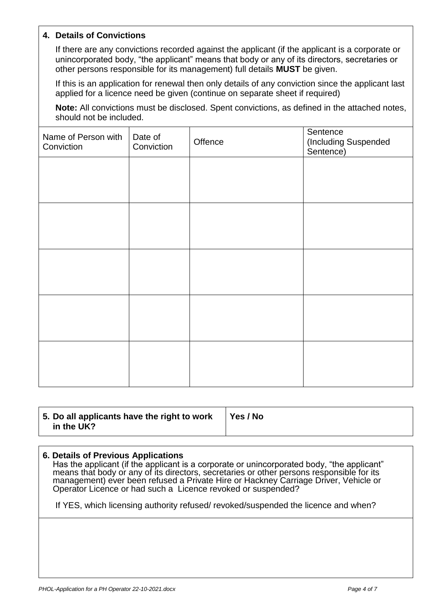#### **4. Details of Convictions**

If there are any convictions recorded against the applicant (if the applicant is a corporate or unincorporated body, "the applicant" means that body or any of its directors, secretaries or other persons responsible for its management) full details **MUST** be given.

If this is an application for renewal then only details of any conviction since the applicant last applied for a licence need be given (continue on separate sheet if required)

**Note:** All convictions must be disclosed. Spent convictions, as defined in the attached notes, should not be included.

| Name of Person with<br>Conviction | Date of<br>Conviction | Offence | Sentence<br>(Including Suspended<br>Sentence) |
|-----------------------------------|-----------------------|---------|-----------------------------------------------|
|                                   |                       |         |                                               |
|                                   |                       |         |                                               |
|                                   |                       |         |                                               |
|                                   |                       |         |                                               |
|                                   |                       |         |                                               |
|                                   |                       |         |                                               |
|                                   |                       |         |                                               |
|                                   |                       |         |                                               |
|                                   |                       |         |                                               |
|                                   |                       |         |                                               |

| 5. Do all applicants have the right to work | Yes / No |
|---------------------------------------------|----------|
| in the UK?                                  |          |

#### **6. Details of Previous Applications**

Has the applicant (if the applicant is a corporate or unincorporated body, "the applicant" means that body or any of its directors, secretaries or other persons responsible for its management) ever been refused a Private Hire or Hackney Carriage Driver, Vehicle or Operator Licence or had such a Licence revoked or suspended?

If YES, which licensing authority refused/ revoked/suspended the licence and when?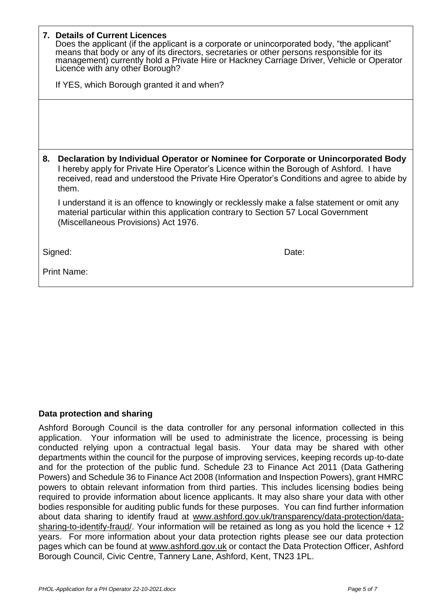|    | 7. Details of Current Licences<br>Does the applicant (if the applicant is a corporate or unincorporated body, "the applicant"<br>means that body or any of its directors, secretaries or other persons responsible for its<br>management) currently hold a Private Hire or Hackney Carriage Driver, Vehicle or Operator<br>Licence with any other Borough?<br>If YES, which Borough granted it and when? |  |
|----|----------------------------------------------------------------------------------------------------------------------------------------------------------------------------------------------------------------------------------------------------------------------------------------------------------------------------------------------------------------------------------------------------------|--|
|    |                                                                                                                                                                                                                                                                                                                                                                                                          |  |
| 8. | Declaration by Individual Operator or Nominee for Corporate or Unincorporated Body<br>I hereby apply for Private Hire Operator's Licence within the Borough of Ashford. I have<br>received, read and understood the Private Hire Operator's Conditions and agree to abide by<br>them.                                                                                                                    |  |
|    | I understand it is an offence to knowingly or recklessly make a false statement or omit any<br>material particular within this application contrary to Section 57 Local Government<br>(Miscellaneous Provisions) Act 1976.                                                                                                                                                                               |  |
|    | Signed:<br>Date:                                                                                                                                                                                                                                                                                                                                                                                         |  |
|    | <b>Print Name:</b>                                                                                                                                                                                                                                                                                                                                                                                       |  |

## **Data protection and sharing**

Ashford Borough Council is the data controller for any personal information collected in this application. Your information will be used to administrate the licence, processing is being conducted relying upon a contractual legal basis. Your data may be shared with other departments within the council for the purpose of improving services, keeping records up-to-date and for the protection of the public fund. Schedule 23 to Finance Act 2011 (Data Gathering Powers) and Schedule 36 to Finance Act 2008 (Information and Inspection Powers), grant HMRC powers to obtain relevant information from third parties. This includes licensing bodies being required to provide information about licence applicants. It may also share your data with other bodies responsible for auditing public funds for these purposes. You can find further information about data sharing to identify fraud at [www.ashford.gov.uk/transparency/data-protection/data](http://www.ashford.gov.uk/transparency/data-protection/data-sharing-to-identify-fraud/)[sharing-to-identify-fraud/.](http://www.ashford.gov.uk/transparency/data-protection/data-sharing-to-identify-fraud/) Your information will be retained as long as you hold the licence + 12 years. For more information about your data protection rights please see our data protection pages which can be found at [www.ashford.gov.uk](http://www.ashford.gov.uk/) or contact the Data Protection Officer, Ashford Borough Council, Civic Centre, Tannery Lane, Ashford, Kent, TN23 1PL.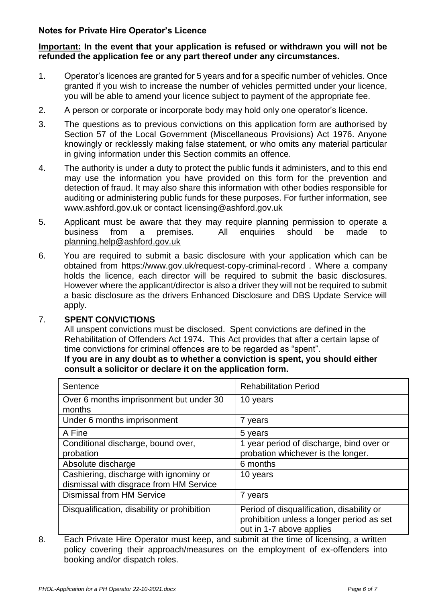### **Notes for Private Hire Operator's Licence**

#### **Important: In the event that your application is refused or withdrawn you will not be refunded the application fee or any part thereof under any circumstances.**

- 1. Operator's licences are granted for 5 years and for a specific number of vehicles. Once granted if you wish to increase the number of vehicles permitted under your licence, you will be able to amend your licence subject to payment of the appropriate fee.
- 2. A person or corporate or incorporate body may hold only one operator's licence.
- 3. The questions as to previous convictions on this application form are authorised by Section 57 of the Local Government (Miscellaneous Provisions) Act 1976. Anyone knowingly or recklessly making false statement, or who omits any material particular in giving information under this Section commits an offence.
- 4. The authority is under a duty to protect the public funds it administers, and to this end may use the information you have provided on this form for the prevention and detection of fraud. It may also share this information with other bodies responsible for auditing or administering public funds for these purposes. For further information, see [www.ashford.gov.uk](http://www.ashford.gov.uk/) or contact [licensing@ashford.gov.uk](mailto:licensing@ashford.gov.uk)
- 5. Applicant must be aware that they may require planning permission to operate a business from a premises. All enquiries should be made to [planning.help@ashford.gov.uk](mailto:planning.help@ashford.gov.uk)
- 6. You are required to submit a basic disclosure with your application which can be obtained from <https://www.gov.uk/request-copy-criminal-record> . Where a company holds the licence, each director will be required to submit the basic disclosures. However where the applicant/director is also a driver they will not be required to submit a basic disclosure as the drivers Enhanced Disclosure and DBS Update Service will apply.

#### 7. **SPENT CONVICTIONS**

All unspent convictions must be disclosed. Spent convictions are defined in the Rehabilitation of Offenders Act 1974. This Act provides that after a certain lapse of time convictions for criminal offences are to be regarded as "spent".

#### **If you are in any doubt as to whether a conviction is spent, you should either consult a solicitor or declare it on the application form.**

| Sentence                                                                          | <b>Rehabilitation Period</b>                                                                                       |
|-----------------------------------------------------------------------------------|--------------------------------------------------------------------------------------------------------------------|
| Over 6 months imprisonment but under 30<br>months                                 | 10 years                                                                                                           |
| Under 6 months imprisonment                                                       | 7 years                                                                                                            |
| A Fine                                                                            | 5 years                                                                                                            |
| Conditional discharge, bound over,<br>probation                                   | 1 year period of discharge, bind over or<br>probation whichever is the longer.                                     |
| Absolute discharge                                                                | 6 months                                                                                                           |
| Cashiering, discharge with ignominy or<br>dismissal with disgrace from HM Service | 10 years                                                                                                           |
| <b>Dismissal from HM Service</b>                                                  | 7 years                                                                                                            |
| Disqualification, disability or prohibition                                       | Period of disqualification, disability or<br>prohibition unless a longer period as set<br>out in 1-7 above applies |

<sup>8.</sup> Each Private Hire Operator must keep, and submit at the time of licensing, a written policy covering their approach/measures on the employment of ex-offenders into booking and/or dispatch roles.